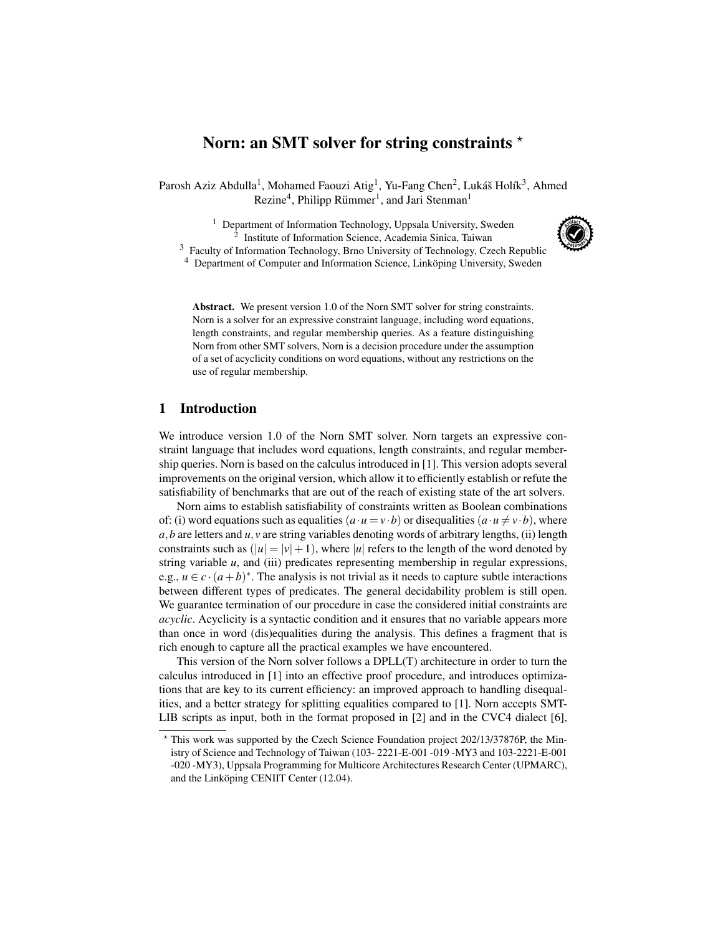# Norn: an SMT solver for string constraints  $\star$

Parosh Aziz Abdulla<sup>1</sup>, Mohamed Faouzi Atig<sup>1</sup>, Yu-Fang Chen<sup>2</sup>, Lukáš Holík<sup>3</sup>, Ahmed Rezine<sup>4</sup>, Philipp Rümmer<sup>1</sup>, and Jari Stenman<sup>1</sup>

<sup>1</sup> Department of Information Technology, Uppsala University, Sweden 2 Institute of Information Science, Academia Sinica, Taiwan <sup>3</sup> Faculty of Information Technology, Brno University of Technology, Czech Republic



<sup>4</sup> Department of Computer and Information Science, Linköping University, Sweden

Abstract. We present version 1.0 of the Norn SMT solver for string constraints. Norn is a solver for an expressive constraint language, including word equations, length constraints, and regular membership queries. As a feature distinguishing Norn from other SMT solvers, Norn is a decision procedure under the assumption of a set of acyclicity conditions on word equations, without any restrictions on the use of regular membership.

## 1 Introduction

We introduce version 1.0 of the Norn SMT solver. Norn targets an expressive constraint language that includes word equations, length constraints, and regular membership queries. Norn is based on the calculus introduced in [1]. This version adopts several improvements on the original version, which allow it to efficiently establish or refute the satisfiability of benchmarks that are out of the reach of existing state of the art solvers.

Norn aims to establish satisfiability of constraints written as Boolean combinations of: (i) word equations such as equalities  $(a \cdot u = v \cdot b)$  or disequalities  $(a \cdot u \neq v \cdot b)$ , where  $a, b$  are letters and  $u, v$  are string variables denoting words of arbitrary lengths, (ii) length constraints such as  $(|u| = |v| + 1)$ , where |*u*| refers to the length of the word denoted by string variable *u*, and (iii) predicates representing membership in regular expressions, e.g.,  $u \in c \cdot (a+b)^*$ . The analysis is not trivial as it needs to capture subtle interactions between different types of predicates. The general decidability problem is still open. We guarantee termination of our procedure in case the considered initial constraints are *acyclic*. Acyclicity is a syntactic condition and it ensures that no variable appears more than once in word (dis)equalities during the analysis. This defines a fragment that is rich enough to capture all the practical examples we have encountered.

This version of the Norn solver follows a DPLL(T) architecture in order to turn the calculus introduced in [1] into an effective proof procedure, and introduces optimizations that are key to its current efficiency: an improved approach to handling disequalities, and a better strategy for splitting equalities compared to [1]. Norn accepts SMT-LIB scripts as input, both in the format proposed in [2] and in the CVC4 dialect [6],

<sup>?</sup> This work was supported by the Czech Science Foundation project 202/13/37876P, the Ministry of Science and Technology of Taiwan (103- 2221-E-001 -019 -MY3 and 103-2221-E-001 -020 -MY3), Uppsala Programming for Multicore Architectures Research Center (UPMARC), and the Linköping CENIIT Center (12.04).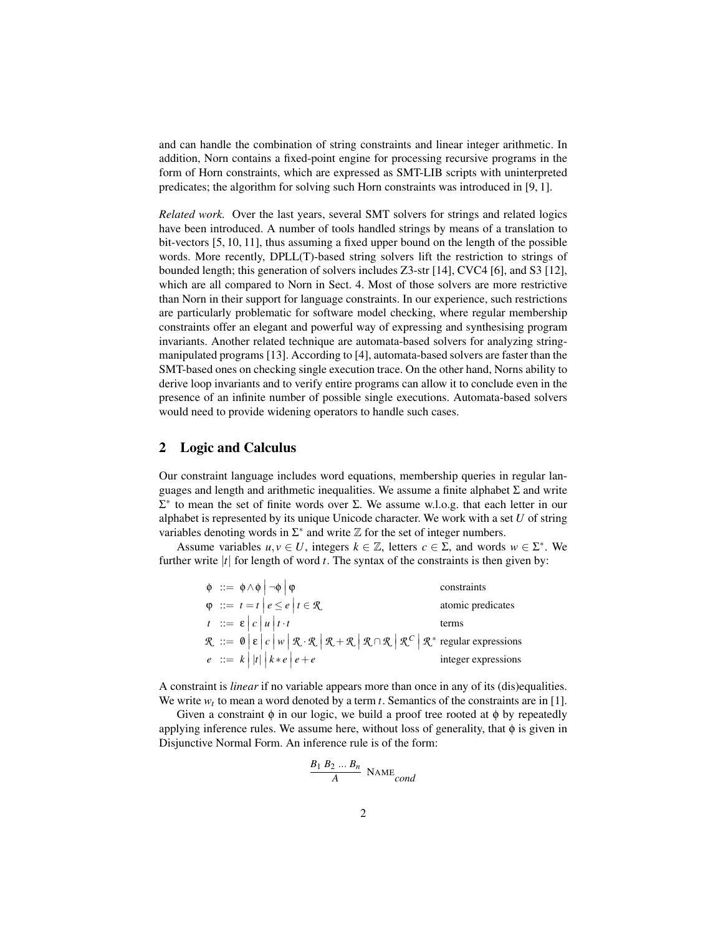and can handle the combination of string constraints and linear integer arithmetic. In addition, Norn contains a fixed-point engine for processing recursive programs in the form of Horn constraints, which are expressed as SMT-LIB scripts with uninterpreted predicates; the algorithm for solving such Horn constraints was introduced in [9, 1].

*Related work.* Over the last years, several SMT solvers for strings and related logics have been introduced. A number of tools handled strings by means of a translation to bit-vectors [5, 10, 11], thus assuming a fixed upper bound on the length of the possible words. More recently, DPLL(T)-based string solvers lift the restriction to strings of bounded length; this generation of solvers includes Z3-str [14], CVC4 [6], and S3 [12], which are all compared to Norn in Sect. 4. Most of those solvers are more restrictive than Norn in their support for language constraints. In our experience, such restrictions are particularly problematic for software model checking, where regular membership constraints offer an elegant and powerful way of expressing and synthesising program invariants. Another related technique are automata-based solvers for analyzing stringmanipulated programs [13]. According to [4], automata-based solvers are faster than the SMT-based ones on checking single execution trace. On the other hand, Norns ability to derive loop invariants and to verify entire programs can allow it to conclude even in the presence of an infinite number of possible single executions. Automata-based solvers would need to provide widening operators to handle such cases.

## 2 Logic and Calculus

Our constraint language includes word equations, membership queries in regular languages and length and arithmetic inequalities. We assume a finite alphabet  $\Sigma$  and write  $\Sigma^*$  to mean the set of finite words over Σ. We assume w.l.o.g. that each letter in our alphabet is represented by its unique Unicode character. We work with a set *U* of string variables denoting words in  $\Sigma^*$  and write  $\mathbb Z$  for the set of integer numbers.

Assume variables  $u, v \in U$ , integers  $k \in \mathbb{Z}$ , letters  $c \in \Sigma$ , and words  $w \in \Sigma^*$ . We further write  $|t|$  for length of word  $t$ . The syntax of the constraints is then given by:

| $\phi$ : $= \phi \wedge \phi$ $\neg \phi$ $\phi$                                                                                                                                             | constraints         |
|----------------------------------------------------------------------------------------------------------------------------------------------------------------------------------------------|---------------------|
| $\varphi$ : $t = t   e \leq e   t \in \mathcal{R}$                                                                                                                                           | atomic predicates   |
| $t := \varepsilon  c  u  t \cdot t$                                                                                                                                                          | terms               |
| $\mathcal{R}$ ::= $\mathbf{0} \in  c w \mathbf{\ell} \cdot \mathbf{R} \mathbf{R} \cdot \mathbf{R} \mathbf{R} \cdot \mathbf{R} \mathbf{R} \cdot \mathbf{R} \cdot \mathbf{R} \cdot \mathbf{R}$ |                     |
| $e := k  t   k * e  e + e$                                                                                                                                                                   | integer expressions |

A constraint is *linear* if no variable appears more than once in any of its (dis)equalities. We write  $w_t$  to mean a word denoted by a term  $t$ . Semantics of the constraints are in [1].

Given a constraint  $\phi$  in our logic, we build a proof tree rooted at  $\phi$  by repeatedly applying inference rules. We assume here, without loss of generality, that φ is given in Disjunctive Normal Form. An inference rule is of the form:

$$
\frac{B_1 B_2 \dots B_n}{A} \text{ NAME}_{cond}
$$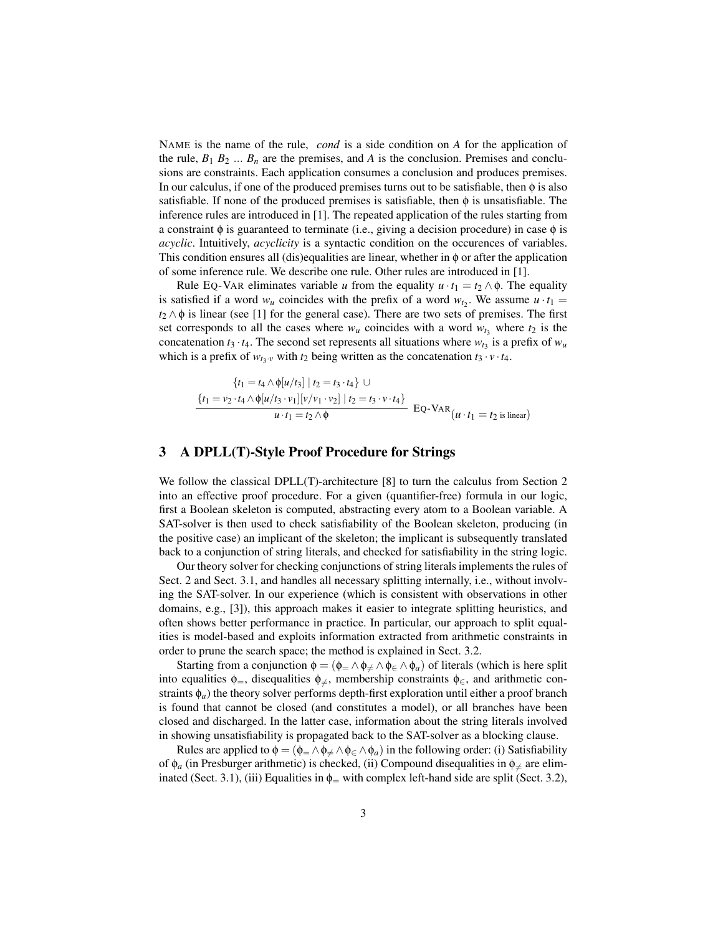NAME is the name of the rule, *cond* is a side condition on *A* for the application of the rule,  $B_1 B_2 \ldots B_n$  are the premises, and *A* is the conclusion. Premises and conclusions are constraints. Each application consumes a conclusion and produces premises. In our calculus, if one of the produced premises turns out to be satisfiable, then  $\phi$  is also satisfiable. If none of the produced premises is satisfiable, then  $\phi$  is unsatisfiable. The inference rules are introduced in [1]. The repeated application of the rules starting from a constraint  $\phi$  is guaranteed to terminate (i.e., giving a decision procedure) in case  $\phi$  is *acyclic*. Intuitively, *acyclicity* is a syntactic condition on the occurences of variables. This condition ensures all (dis)equalities are linear, whether in  $\phi$  or after the application of some inference rule. We describe one rule. Other rules are introduced in [1].

Rule EQ-VAR eliminates variable *u* from the equality  $u \cdot t_1 = t_2 \wedge \phi$ . The equality is satisfied if a word  $w_u$  coincides with the prefix of a word  $w_{t_2}$ . We assume  $u \cdot t_1 =$  $t_2 \wedge \phi$  is linear (see [1] for the general case). There are two sets of premises. The first set corresponds to all the cases where  $w_u$  coincides with a word  $w_t$ <sub>3</sub> where  $t_2$  is the concatenation  $t_3 \cdot t_4$ . The second set represents all situations where  $w_{t_3}$  is a prefix of  $w_u$ which is a prefix of  $w_{t_3 \cdot v}$  with  $t_2$  being written as the concatenation  $t_3 \cdot v \cdot t_4$ .

$$
\{t_1 = t_4 \land \phi[u/t_3] \mid t_2 = t_3 \cdot t_4\} \cup
$$
\n
$$
\frac{\{t_1 = v_2 \cdot t_4 \land \phi[u/t_3 \cdot v_1] [v/v_1 \cdot v_2] \mid t_2 = t_3 \cdot v \cdot t_4\}}{u \cdot t_1 = t_2 \land \phi} \quad \text{EQ-VAR} (u \cdot t_1 = t_2 \text{ is linear})
$$

## 3 A DPLL(T)-Style Proof Procedure for Strings

We follow the classical DPLL(T)-architecture [8] to turn the calculus from Section 2 into an effective proof procedure. For a given (quantifier-free) formula in our logic, first a Boolean skeleton is computed, abstracting every atom to a Boolean variable. A SAT-solver is then used to check satisfiability of the Boolean skeleton, producing (in the positive case) an implicant of the skeleton; the implicant is subsequently translated back to a conjunction of string literals, and checked for satisfiability in the string logic.

Our theory solver for checking conjunctions of string literals implements the rules of Sect. 2 and Sect. 3.1, and handles all necessary splitting internally, i.e., without involving the SAT-solver. In our experience (which is consistent with observations in other domains, e.g., [3]), this approach makes it easier to integrate splitting heuristics, and often shows better performance in practice. In particular, our approach to split equalities is model-based and exploits information extracted from arithmetic constraints in order to prune the search space; the method is explained in Sect. 3.2.

Starting from a conjunction  $\phi = (\phi_{=} \wedge \phi_{\neq} \wedge \phi_{\in} \wedge \phi_a)$  of literals (which is here split into equalities  $\phi$ <sub>=</sub>, disequalities  $\phi$ <sub>≠</sub>, membership constraints  $\phi$ <sub>∈</sub>, and arithmetic constraints φ*a*) the theory solver performs depth-first exploration until either a proof branch is found that cannot be closed (and constitutes a model), or all branches have been closed and discharged. In the latter case, information about the string literals involved in showing unsatisfiability is propagated back to the SAT-solver as a blocking clause.

Rules are applied to  $\phi = (\phi_{\pm} \wedge \phi_{\pm} \wedge \phi_{\epsilon} \wedge \phi_a)$  in the following order: (i) Satisfiability of  $\phi_a$  (in Presburger arithmetic) is checked, (ii) Compound disequalities in  $\phi_{\neq}$  are eliminated (Sect. 3.1), (iii) Equalities in  $\phi$ <sub>=</sub> with complex left-hand side are split (Sect. 3.2),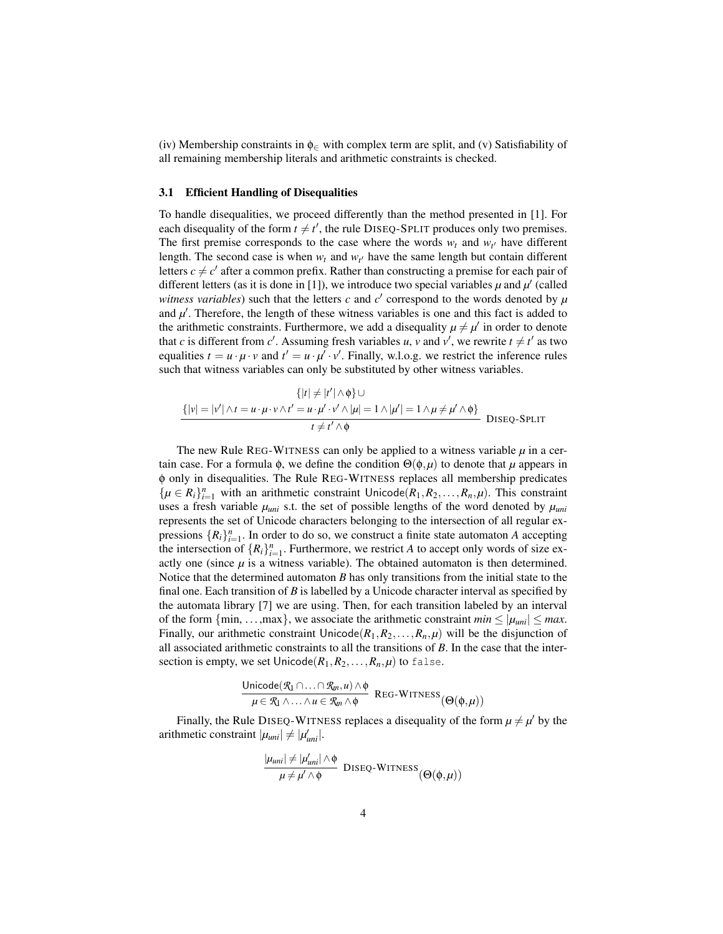(iv) Membership constraints in  $\phi_{\in}$  with complex term are split, and (v) Satisfiability of all remaining membership literals and arithmetic constraints is checked.

#### 3.1 Efficient Handling of Disequalities

To handle disequalities, we proceed differently than the method presented in [1]. For each disequality of the form  $t \neq t'$ , the rule DISEQ-SPLIT produces only two premises. The first premise corresponds to the case where the words  $w_t$  and  $w_{t'}$  have different length. The second case is when  $w_t$  and  $w_{t'}$  have the same length but contain different letters  $c \neq c'$  after a common prefix. Rather than constructing a premise for each pair of different letters (as it is done in [1]), we introduce two special variables  $\mu$  and  $\mu'$  (called *witness variables*) such that the letters *c* and  $c'$  correspond to the words denoted by  $\mu$ and  $\mu'$ . Therefore, the length of these witness variables is one and this fact is added to the arithmetic constraints. Furthermore, we add a disequality  $\mu \neq \mu'$  in order to denote that *c* is different from *c*<sup> $\prime$ </sup>. Assuming fresh variables *u*, *v* and *v*<sup> $\prime$ </sup>, we rewrite  $t \neq t'$  as two equalities  $t = u \cdot \mu \cdot v$  and  $t' = u \cdot \mu' \cdot v'$ . Finally, w.l.o.g. we restrict the inference rules such that witness variables can only be substituted by other witness variables.

$$
\{ |t| \neq |t'| \land \phi \} \cup
$$
  
\n
$$
\{ |\nu| = |\nu'| \land t = u \cdot \mu \cdot \nu \land t' = u \cdot \mu' \cdot \nu' \land |\mu| = 1 \land |\mu'| = 1 \land \mu \neq \mu' \land \phi \}
$$
 DISEQ-SPLIT

The new Rule REG-WITNESS can only be applied to a witness variable  $\mu$  in a certain case. For a formula  $\phi$ , we define the condition  $\Theta(\phi,\mu)$  to denote that  $\mu$  appears in φ only in disequalities. The Rule REG-WITNESS replaces all membership predicates  $\{\mu \in R_i\}_{i=1}^n$  with an arithmetic constraint Unicode( $R_1, R_2, \ldots, R_n, \mu$ ). This constraint uses a fresh variable  $\mu_{uni}$  s.t. the set of possible lengths of the word denoted by  $\mu_{uni}$ represents the set of Unicode characters belonging to the intersection of all regular expressions  $\{R_i\}_{i=1}^n$ . In order to do so, we construct a finite state automaton *A* accepting the intersection of  $\{R_i\}_{i=1}^n$ . Furthermore, we restrict *A* to accept only words of size exactly one (since  $\mu$  is a witness variable). The obtained automaton is then determined. Notice that the determined automaton *B* has only transitions from the initial state to the final one. Each transition of *B* is labelled by a Unicode character interval as specified by the automata library [7] we are using. Then, for each transition labeled by an interval of the form  $\{\min, \ldots, \max\}$ , we associate the arithmetic constraint  $\min \leq |\mu_{uni}| \leq \max$ . Finally, our arithmetic constraint  $Unicode(R_1, R_2, \ldots, R_n, \mu)$  will be the disjunction of all associated arithmetic constraints to all the transitions of *B*. In the case that the intersection is empty, we set  $Unicode(R_1, R_2, \ldots, R_n, \mu)$  to false.

$$
\frac{\text{Unicode}(\mathcal{R}_1 \cap \ldots \cap \mathcal{R}_m, u) \wedge \phi}{\mu \in \mathcal{R}_1 \wedge \ldots \wedge u \in \mathcal{R}_m \wedge \phi} \text{ Reg-WITNESS}(\Theta(\phi, \mu))
$$

Finally, the Rule DISEQ-WITNESS replaces a disequality of the form  $\mu \neq \mu'$  by the arithmetic constraint  $|\mu_{uni}| \neq |\mu'_{uni}|$ .

$$
\frac{|\mu_{uni}| \neq |\mu'_{uni}| \land \phi}{\mu \neq \mu' \land \phi}
$$
 DISEQ-WITNESS $(\Theta(\phi, \mu))$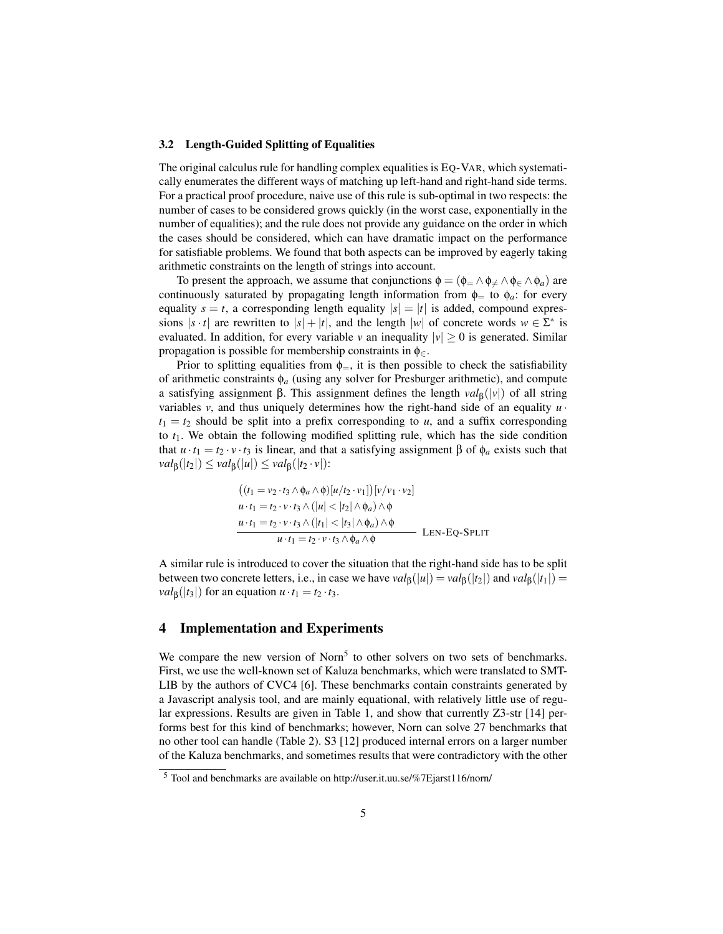#### 3.2 Length-Guided Splitting of Equalities

The original calculus rule for handling complex equalities is EQ-VAR, which systematically enumerates the different ways of matching up left-hand and right-hand side terms. For a practical proof procedure, naive use of this rule is sub-optimal in two respects: the number of cases to be considered grows quickly (in the worst case, exponentially in the number of equalities); and the rule does not provide any guidance on the order in which the cases should be considered, which can have dramatic impact on the performance for satisfiable problems. We found that both aspects can be improved by eagerly taking arithmetic constraints on the length of strings into account.

To present the approach, we assume that conjunctions  $\phi = (\phi_{=} \wedge \phi_{\neq} \wedge \phi_{\in} \wedge \phi_a)$  are continuously saturated by propagating length information from  $\phi$ <sub>=</sub> to  $\phi$ <sub>*a*</sub>: for every equality  $s = t$ , a corresponding length equality  $|s| = |t|$  is added, compound expressions  $|s \cdot t|$  are rewritten to  $|s| + |t|$ , and the length  $|w|$  of concrete words  $w \in \Sigma^*$  is evaluated. In addition, for every variable *v* an inequality  $|v| \ge 0$  is generated. Similar propagation is possible for membership constraints in  $\phi_{\in}$ .

Prior to splitting equalities from  $\phi$ <sub>=</sub>, it is then possible to check the satisfiability of arithmetic constraints  $\phi_a$  (using any solver for Presburger arithmetic), and compute a satisfying assignment β. This assignment defines the length  $val<sub>β</sub>(|v|)$  of all string variables *v*, and thus uniquely determines how the right-hand side of an equality  $u \cdot$  $t_1 = t_2$  should be split into a prefix corresponding to *u*, and a suffix corresponding to *t*1. We obtain the following modified splitting rule, which has the side condition that *u* ·*t*<sub>1</sub> = *t*<sub>2</sub> · *v* ·*t*<sub>3</sub> is linear, and that a satisfying assignment β of  $φ_α$  exists such that *val*<sub>β</sub>(|*t*<sub>2</sub>|) ≤ *val*<sub>β</sub>(|*u*|) ≤ *val*<sub>β</sub>(|*t*<sub>2</sub> · *v*|):

$$
((t_1 = v_2 \cdot t_3 \wedge \phi_a \wedge \phi)[u/t_2 \cdot v_1])[v/v_1 \cdot v_2]
$$
  
\n
$$
u \cdot t_1 = t_2 \cdot v \cdot t_3 \wedge (|u| < |t_2| \wedge \phi_a) \wedge \phi
$$
  
\n
$$
\frac{u \cdot t_1 = t_2 \cdot v \cdot t_3 \wedge (|t_1| < |t_3| \wedge \phi_a) \wedge \phi}{u \cdot t_1 = t_2 \cdot v \cdot t_3 \wedge \phi_a \wedge \phi}
$$
LEN-EQ-SPLIT

A similar rule is introduced to cover the situation that the right-hand side has to be split between two concrete letters, i.e., in case we have  $val_{\beta}(|u|) = val_{\beta}(|t_2|)$  and  $val_{\beta}(|t_1|) =$ *val*<sub>β</sub>( $|t_3|$ ) for an equation  $u \cdot t_1 = t_2 \cdot t_3$ .

## 4 Implementation and Experiments

We compare the new version of Norn<sup>5</sup> to other solvers on two sets of benchmarks. First, we use the well-known set of Kaluza benchmarks, which were translated to SMT-LIB by the authors of CVC4 [6]. These benchmarks contain constraints generated by a Javascript analysis tool, and are mainly equational, with relatively little use of regular expressions. Results are given in Table 1, and show that currently Z3-str [14] performs best for this kind of benchmarks; however, Norn can solve 27 benchmarks that no other tool can handle (Table 2). S3 [12] produced internal errors on a larger number of the Kaluza benchmarks, and sometimes results that were contradictory with the other

<sup>5</sup> Tool and benchmarks are available on http://user.it.uu.se/%7Ejarst116/norn/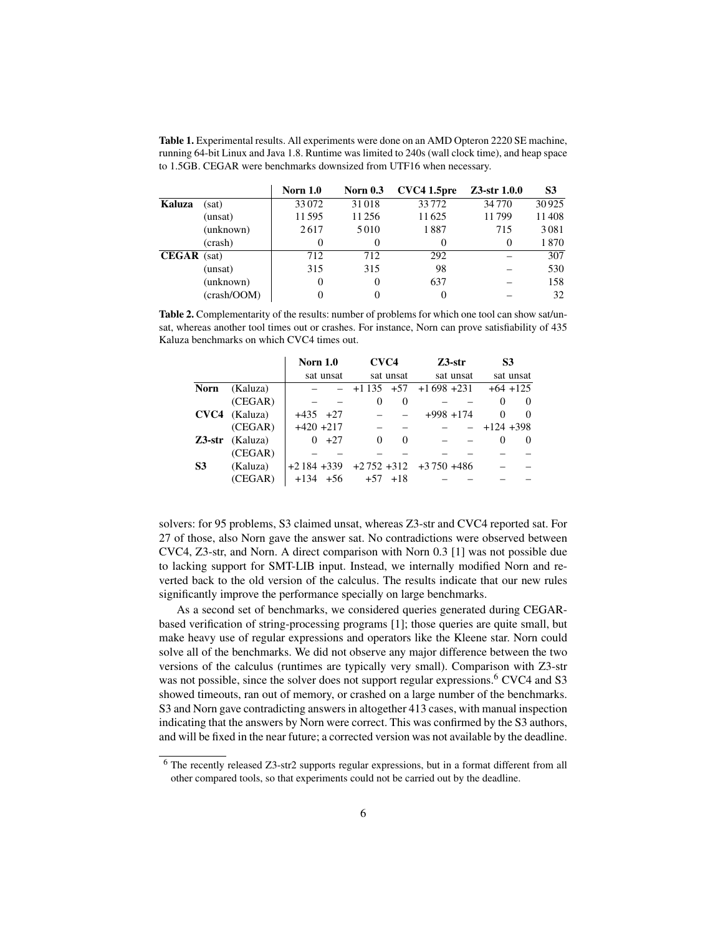Table 1. Experimental results. All experiments were done on an AMD Opteron 2220 SE machine, running 64-bit Linux and Java 1.8. Runtime was limited to 240s (wall clock time), and heap space to 1.5GB. CEGAR were benchmarks downsized from UTF16 when necessary.

|                    |             | <b>Norn 1.0</b> | <b>Norn 0.3</b> | CVC4 1.5pre | $Z3$ -str $1.0.0$ | S3    |
|--------------------|-------------|-----------------|-----------------|-------------|-------------------|-------|
| Kaluza             | (sat)       | 33072           | 31018           | 33772       | 34770             | 30925 |
|                    | (unsat)     | 11595           | 11256           | 11625       | 11799             | 11408 |
|                    | (unknown)   | 2617            | 5010            | 1887        | 715               | 3081  |
|                    | (crash)     |                 | 0               | 0           | $\theta$          | 1870  |
| <b>CEGAR</b> (sat) |             | 712             | 712             | 292         |                   | 307   |
|                    | (unsat)     | 315             | 315             | 98          |                   | 530   |
|                    | (unknown)   | $\Omega$        | $\theta$        | 637         |                   | 158   |
|                    | (crash/OOM) |                 |                 | 0           |                   | 32    |

Table 2. Complementarity of the results: number of problems for which one tool can show sat/unsat, whereas another tool times out or crashes. For instance, Norn can prove satisfiability of 435 Kaluza benchmarks on which CVC4 times out.

|                |                          | <b>Norn 1.0</b> |         | CVC4      |             | $Z3$ -str                          |  | S <sub>3</sub> |            |
|----------------|--------------------------|-----------------|---------|-----------|-------------|------------------------------------|--|----------------|------------|
|                |                          | sat unsat       |         | sat unsat |             | sat unsat                          |  |                | sat unsat  |
| <b>Norn</b>    | (Kaluza)                 |                 |         |           |             | $-$ +1 135 +57 +1 698 +231         |  |                | $+64$ +125 |
|                | (CEGAR)                  |                 |         | 0         | 0           |                                    |  | 0              | $\theta$   |
|                | $CVC4$ (Kaluza)          | $+435$ $+27$    |         |           |             | $+998$ +174                        |  | 0              | $\theta$   |
|                | (CEGAR)                  | $+420 + 217$    |         |           |             |                                    |  | $- +124 +398$  |            |
|                | $Z3\text{-str}$ (Kaluza) |                 | $0 +27$ | 0         | 0           |                                    |  | 0              | $\theta$   |
|                | (CEGAR)                  |                 |         |           |             |                                    |  |                |            |
| S <sub>3</sub> | (Kaluza)                 |                 |         |           |             | $+2184 +339 +2752 +312 +3750 +486$ |  |                |            |
|                | (CEGAR)                  | $+134$ $+56$    |         |           | $+57$ $+18$ |                                    |  |                |            |

solvers: for 95 problems, S3 claimed unsat, whereas Z3-str and CVC4 reported sat. For 27 of those, also Norn gave the answer sat. No contradictions were observed between CVC4, Z3-str, and Norn. A direct comparison with Norn 0.3 [1] was not possible due to lacking support for SMT-LIB input. Instead, we internally modified Norn and reverted back to the old version of the calculus. The results indicate that our new rules significantly improve the performance specially on large benchmarks.

As a second set of benchmarks, we considered queries generated during CEGARbased verification of string-processing programs [1]; those queries are quite small, but make heavy use of regular expressions and operators like the Kleene star. Norn could solve all of the benchmarks. We did not observe any major difference between the two versions of the calculus (runtimes are typically very small). Comparison with Z3-str was not possible, since the solver does not support regular expressions.<sup>6</sup> CVC4 and S3 showed timeouts, ran out of memory, or crashed on a large number of the benchmarks. S3 and Norn gave contradicting answers in altogether 413 cases, with manual inspection indicating that the answers by Norn were correct. This was confirmed by the S3 authors, and will be fixed in the near future; a corrected version was not available by the deadline.

<sup>6</sup> The recently released Z3-str2 supports regular expressions, but in a format different from all other compared tools, so that experiments could not be carried out by the deadline.